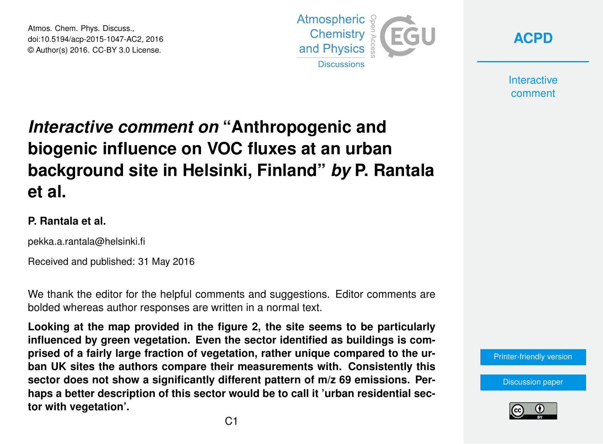Atmos. Chem. Phys. Discuss., doi:10.5194/acp-2015-1047-AC2, 2016 © Author(s) 2016. CC-BY 3.0 License.



**[ACPD](http://www.atmos-chem-phys-discuss.net/)**

**Interactive** comment

# *Interactive comment on* **"Anthropogenic and biogenic influence on VOC fluxes at an urban background site in Helsinki, Finland"** *by* **P. Rantala et al.**

### **P. Rantala et al.**

pekka.a.rantala@helsinki.fi

Received and published: 31 May 2016

We thank the editor for the helpful comments and suggestions. Editor comments are bolded whereas author responses are written in a normal text.

**Looking at the map provided in the figure 2, the site seems to be particularly influenced by green vegetation. Even the sector identified as buildings is comprised of a fairly large fraction of vegetation, rather unique compared to the urban UK sites the authors compare their measurements with. Consistently this sector does not show a significantly different pattern of m/z 69 emissions. Perhaps a better description of this sector would be to call it 'urban residential sector with vegetation'.**

[Printer-friendly version](http://www.atmos-chem-phys-discuss.net/acp-2015-1047/acp-2015-1047-AC2-print.pdf)

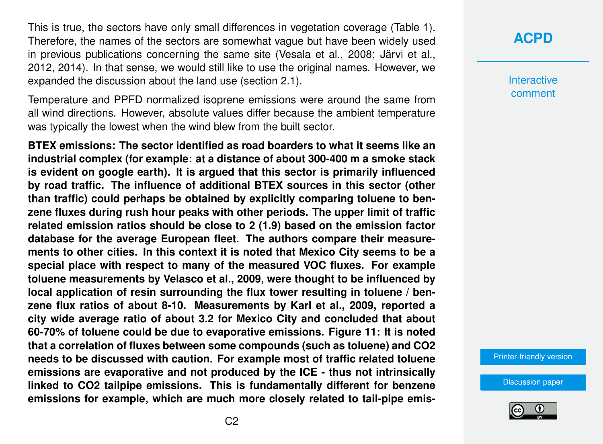This is true, the sectors have only small differences in vegetation coverage (Table 1). Therefore, the names of the sectors are somewhat vague but have been widely used in previous publications concerning the same site (Vesala et al., 2008; Järvi et al., 2012, 2014). In that sense, we would still like to use the original names. However, we expanded the discussion about the land use (section 2.1).

Temperature and PPFD normalized isoprene emissions were around the same from all wind directions. However, absolute values differ because the ambient temperature was typically the lowest when the wind blew from the built sector.

**BTEX emissions: The sector identified as road boarders to what it seems like an industrial complex (for example: at a distance of about 300-400 m a smoke stack is evident on google earth). It is argued that this sector is primarily influenced by road traffic. The influence of additional BTEX sources in this sector (other than traffic) could perhaps be obtained by explicitly comparing toluene to benzene fluxes during rush hour peaks with other periods. The upper limit of traffic related emission ratios should be close to 2 (1.9) based on the emission factor database for the average European fleet. The authors compare their measurements to other cities. In this context it is noted that Mexico City seems to be a special place with respect to many of the measured VOC fluxes. For example toluene measurements by Velasco et al., 2009, were thought to be influenced by local application of resin surrounding the flux tower resulting in toluene / benzene flux ratios of about 8-10. Measurements by Karl et al., 2009, reported a city wide average ratio of about 3.2 for Mexico City and concluded that about 60-70% of toluene could be due to evaporative emissions. Figure 11: It is noted that a correlation of fluxes between some compounds (such as toluene) and CO2 needs to be discussed with caution. For example most of traffic related toluene emissions are evaporative and not produced by the ICE - thus not intrinsically linked to CO2 tailpipe emissions. This is fundamentally different for benzene emissions for example, which are much more closely related to tail-pipe emis-** **Interactive** comment

[Printer-friendly version](http://www.atmos-chem-phys-discuss.net/acp-2015-1047/acp-2015-1047-AC2-print.pdf)

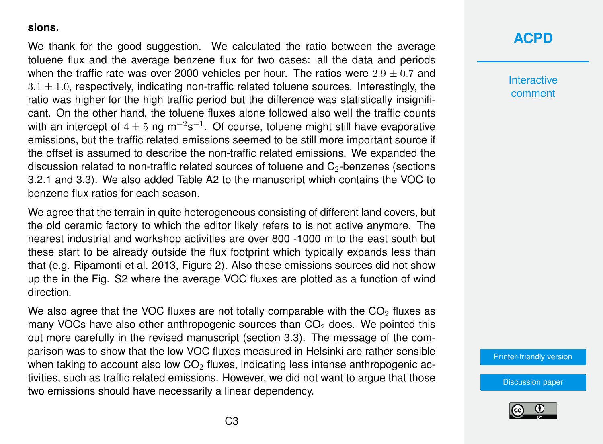#### **sions.**

We thank for the good suggestion. We calculated the ratio between the average toluene flux and the average benzene flux for two cases: all the data and periods when the traffic rate was over 2000 vehicles per hour. The ratios were  $2.9 \pm 0.7$  and  $3.1 \pm 1.0$ , respectively, indicating non-traffic related toluene sources. Interestingly, the ratio was higher for the high traffic period but the difference was statistically insignificant. On the other hand, the toluene fluxes alone followed also well the traffic counts with an intercept of  $4\pm5$  ng m<sup>-2</sup>s<sup>-1</sup>. Of course, toluene might still have evaporative emissions, but the traffic related emissions seemed to be still more important source if the offset is assumed to describe the non-traffic related emissions. We expanded the discussion related to non-traffic related sources of toluene and  $C_2$ -benzenes (sections 3.2.1 and 3.3). We also added Table A2 to the manuscript which contains the VOC to benzene flux ratios for each season.

We agree that the terrain in quite heterogeneous consisting of different land covers, but the old ceramic factory to which the editor likely refers to is not active anymore. The nearest industrial and workshop activities are over 800 -1000 m to the east south but these start to be already outside the flux footprint which typically expands less than that (e.g. Ripamonti et al. 2013, Figure 2). Also these emissions sources did not show up the in the Fig. S2 where the average VOC fluxes are plotted as a function of wind direction.

We also agree that the VOC fluxes are not totally comparable with the  $CO<sub>2</sub>$  fluxes as many VOCs have also other anthropogenic sources than  $CO<sub>2</sub>$  does. We pointed this out more carefully in the revised manuscript (section 3.3). The message of the comparison was to show that the low VOC fluxes measured in Helsinki are rather sensible when taking to account also low  $CO<sub>2</sub>$  fluxes, indicating less intense anthropogenic activities, such as traffic related emissions. However, we did not want to argue that those two emissions should have necessarily a linear dependency.

### **[ACPD](http://www.atmos-chem-phys-discuss.net/)**

**Interactive** comment

[Printer-friendly version](http://www.atmos-chem-phys-discuss.net/acp-2015-1047/acp-2015-1047-AC2-print.pdf)